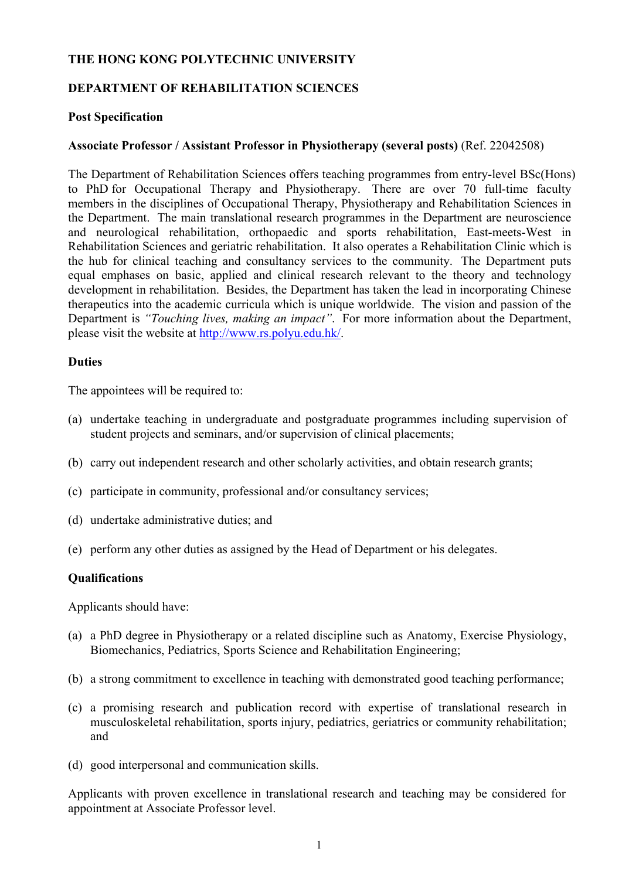### **THE HONG KONG POLYTECHNIC UNIVERSITY**

# **DEPARTMENT OF REHABILITATION SCIENCES**

### **Post Specification**

### **Associate Professor / Assistant Professor in Physiotherapy (several posts)** (Ref. 22042508)

The Department of Rehabilitation Sciences offers teaching programmes from entry-level BSc(Hons) to PhD for Occupational Therapy and Physiotherapy. There are over 70 full-time faculty members in the disciplines of Occupational Therapy, Physiotherapy and Rehabilitation Sciences in the Department. The main translational research programmes in the Department are neuroscience and neurological rehabilitation, orthopaedic and sports rehabilitation, East-meets-West in Rehabilitation Sciences and geriatric rehabilitation. It also operates a Rehabilitation Clinic which is the hub for clinical teaching and consultancy services to the community. The Department puts equal emphases on basic, applied and clinical research relevant to the theory and technology development in rehabilitation. Besides, the Department has taken the lead in incorporating Chinese therapeutics into the academic curricula which is unique worldwide. The vision and passion of the Department is *"Touching lives, making an impact"*. For more information about the Department, please visit the website at http://www.rs.polyu.edu.hk/.

#### **Duties**

The appointees will be required to:

- (a) undertake teaching in undergraduate and postgraduate programmes including supervision of student projects and seminars, and/or supervision of clinical placements;
- (b) carry out independent research and other scholarly activities, and obtain research grants;
- (c) participate in community, professional and/or consultancy services;
- (d) undertake administrative duties; and
- (e) perform any other duties as assigned by the Head of Department or his delegates.

### **Qualifications**

Applicants should have:

- (a) a PhD degree in Physiotherapy or a related discipline such as Anatomy, Exercise Physiology, Biomechanics, Pediatrics, Sports Science and Rehabilitation Engineering;
- (b) a strong commitment to excellence in teaching with demonstrated good teaching performance;
- (c) a promising research and publication record with expertise of translational research in musculoskeletal rehabilitation, sports injury, pediatrics, geriatrics or community rehabilitation; and
- (d) good interpersonal and communication skills.

Applicants with proven excellence in translational research and teaching may be considered for appointment at Associate Professor level.